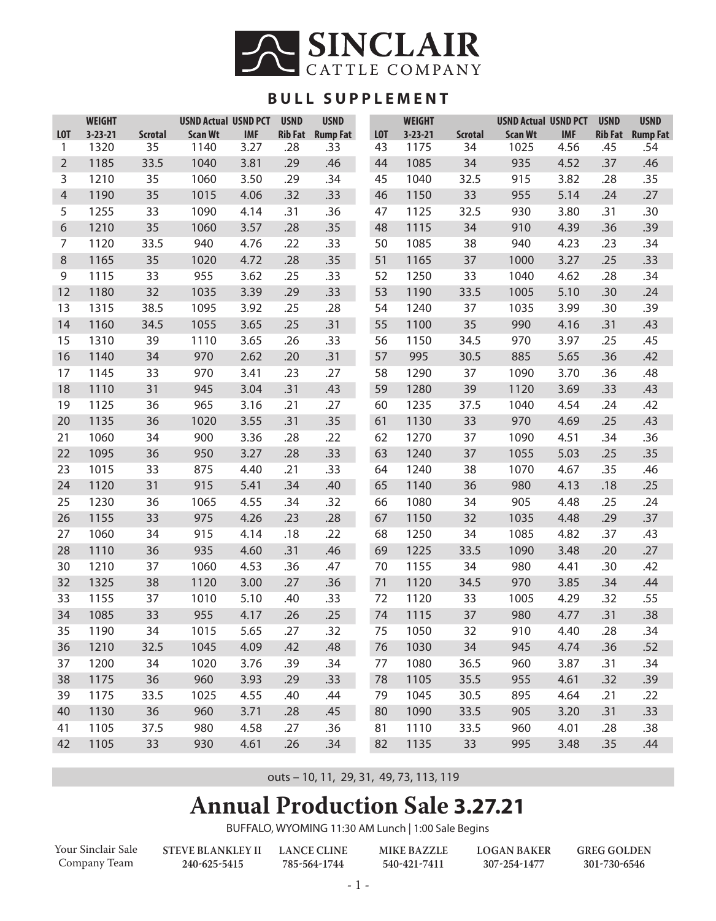

## **BULL SUPPLEMENT**

|                | <b>WEIGHT</b> |                | <b>USND Actual USND PCT</b> |            | <b>USND</b>    | <b>USND</b>     |                  | <b>WEIGHT</b> |                | <b>USND Actual USND PCT</b> |            | <b>USND</b>    | <b>USND</b>     |
|----------------|---------------|----------------|-----------------------------|------------|----------------|-----------------|------------------|---------------|----------------|-----------------------------|------------|----------------|-----------------|
| <b>LOT</b>     | $3 - 23 - 21$ | <b>Scrotal</b> | <b>Scan Wt</b>              | <b>IMF</b> | <b>Rib Fat</b> | <b>Rump Fat</b> | L <sub>0</sub> T | $3 - 23 - 21$ | <b>Scrotal</b> | <b>Scan Wt</b>              | <b>IMF</b> | <b>Rib Fat</b> | <b>Rump Fat</b> |
| 1              | 1320          | 35             | 1140                        | 3.27       | .28            | .33             | 43               | 1175          | 34             | 1025                        | 4.56       | .45            | .54             |
| $\overline{2}$ | 1185          | 33.5           | 1040                        | 3.81       | .29            | .46             | 44               | 1085          | 34             | 935                         | 4.52       | .37            | .46             |
| 3              | 1210          | 35             | 1060                        | 3.50       | .29            | .34             | 45               | 1040          | 32.5           | 915                         | 3.82       | .28            | .35             |
| 4              | 1190          | 35             | 1015                        | 4.06       | .32            | .33             | 46               | 1150          | 33             | 955                         | 5.14       | .24            | .27             |
| 5              | 1255          | 33             | 1090                        | 4.14       | .31            | .36             | 47               | 1125          | 32.5           | 930                         | 3.80       | .31            | .30             |
| 6              | 1210          | 35             | 1060                        | 3.57       | .28            | .35             | 48               | 1115          | 34             | 910                         | 4.39       | .36            | .39             |
| 7              | 1120          | 33.5           | 940                         | 4.76       | .22            | .33             | 50               | 1085          | 38             | 940                         | 4.23       | .23            | .34             |
| 8              | 1165          | 35             | 1020                        | 4.72       | .28            | .35             | 51               | 1165          | 37             | 1000                        | 3.27       | .25            | .33             |
| 9              | 1115          | 33             | 955                         | 3.62       | .25            | .33             | 52               | 1250          | 33             | 1040                        | 4.62       | .28            | .34             |
| 12             | 1180          | 32             | 1035                        | 3.39       | .29            | .33             | 53               | 1190          | 33.5           | 1005                        | 5.10       | .30            | .24             |
| 13             | 1315          | 38.5           | 1095                        | 3.92       | .25            | .28             | 54               | 1240          | 37             | 1035                        | 3.99       | .30            | .39             |
| 14             | 1160          | 34.5           | 1055                        | 3.65       | .25            | .31             | 55               | 1100          | 35             | 990                         | 4.16       | .31            | .43             |
| 15             | 1310          | 39             | 1110                        | 3.65       | .26            | .33             | 56               | 1150          | 34.5           | 970                         | 3.97       | .25            | .45             |
| 16             | 1140          | 34             | 970                         | 2.62       | .20            | .31             | 57               | 995           | 30.5           | 885                         | 5.65       | .36            | .42             |
| 17             | 1145          | 33             | 970                         | 3.41       | .23            | .27             | 58               | 1290          | 37             | 1090                        | 3.70       | .36            | .48             |
| 18             | 1110          | 31             | 945                         | 3.04       | .31            | .43             | 59               | 1280          | 39             | 1120                        | 3.69       | .33            | .43             |
| 19             | 1125          | 36             | 965                         | 3.16       | .21            | .27             | 60               | 1235          | 37.5           | 1040                        | 4.54       | .24            | .42             |
| 20             | 1135          | 36             | 1020                        | 3.55       | .31            | .35             | 61               | 1130          | 33             | 970                         | 4.69       | .25            | .43             |
| 21             | 1060          | 34             | 900                         | 3.36       | .28            | .22             | 62               | 1270          | 37             | 1090                        | 4.51       | .34            | .36             |
| 22             | 1095          | 36             | 950                         | 3.27       | .28            | .33             | 63               | 1240          | 37             | 1055                        | 5.03       | .25            | .35             |
| 23             | 1015          | 33             | 875                         | 4.40       | .21            | .33             | 64               | 1240          | 38             | 1070                        | 4.67       | .35            | .46             |
| 24             | 1120          | 31             | 915                         | 5.41       | .34            | .40             | 65               | 1140          | 36             | 980                         | 4.13       | .18            | .25             |
| 25             | 1230          | 36             | 1065                        | 4.55       | .34            | .32             | 66               | 1080          | 34             | 905                         | 4.48       | .25            | .24             |
| 26             | 1155          | 33             | 975                         | 4.26       | .23            | .28             | 67               | 1150          | 32             | 1035                        | 4.48       | .29            | .37             |
| 27             | 1060          | 34             | 915                         | 4.14       | .18            | .22             | 68               | 1250          | 34             | 1085                        | 4.82       | .37            | .43             |
| 28             | 1110          | 36             | 935                         | 4.60       | .31            | .46             | 69               | 1225          | 33.5           | 1090                        | 3.48       | .20            | .27             |
| 30             | 1210          | 37             | 1060                        | 4.53       | .36            | .47             | 70               | 1155          | 34             | 980                         | 4.41       | .30            | .42             |
| 32             | 1325          | 38             | 1120                        | 3.00       | .27            | .36             | 71               | 1120          | 34.5           | 970                         | 3.85       | .34            | .44             |
| 33             | 1155          | 37             | 1010                        | 5.10       | .40            | .33             | 72               | 1120          | 33             | 1005                        | 4.29       | .32            | .55             |
| 34             | 1085          | 33             | 955                         | 4.17       | .26            | .25             | 74               | 1115          | 37             | 980                         | 4.77       | .31            | .38             |
| 35             | 1190          | 34             | 1015                        | 5.65       | .27            | .32             | 75               | 1050          | 32             | 910                         | 4.40       | .28            | .34             |
| 36             | 1210          | 32.5           | 1045                        | 4.09       | .42            | .48             | 76               | 1030          | 34             | 945                         | 4.74       | .36            | .52             |
| 37             | 1200          | 34             | 1020                        | 3.76       | .39            | .34             | 77               | 1080          | 36.5           | 960                         | 3.87       | .31            | .34             |
| 38             | 1175          | 36             | 960                         | 3.93       | .29            | .33             | 78               | 1105          | 35.5           | 955                         | 4.61       | .32            | .39             |
| 39             | 1175          | 33.5           | 1025                        | 4.55       | .40            | .44             | 79               | 1045          | 30.5           | 895                         | 4.64       | .21            | .22             |
| 40             | 1130          | 36             | 960                         | 3.71       | .28            | .45             | 80               | 1090          | 33.5           | 905                         | 3.20       | .31            | .33             |
| 41             | 1105          | 37.5           | 980                         | 4.58       | .27            | .36             | 81               | 1110          | 33.5           | 960                         | 4.01       | .28            | .38             |
| 42             | 1105          | 33             | 930                         | 4.61       | .26            | .34             | 82               | 1135          | 33             | 995                         | 3.48       | .35            | .44             |

outs – 10, 11, 29, 31, 49, 73, 113, 119

# **Annual Production Sale 3.27.21**

BUFFALO, WYOMING 11:30 AM Lunch | 1:00 Sale Begins

| Your Sinclair Sale |
|--------------------|
| Company Team       |

**STEVE BLANKLEY II LANCE CLINE 240-625-5415** 

**785-564-1744** 

**MIKE BAZZLE 540-421-7411**

**LOGAN BAKER 307-254-1477**